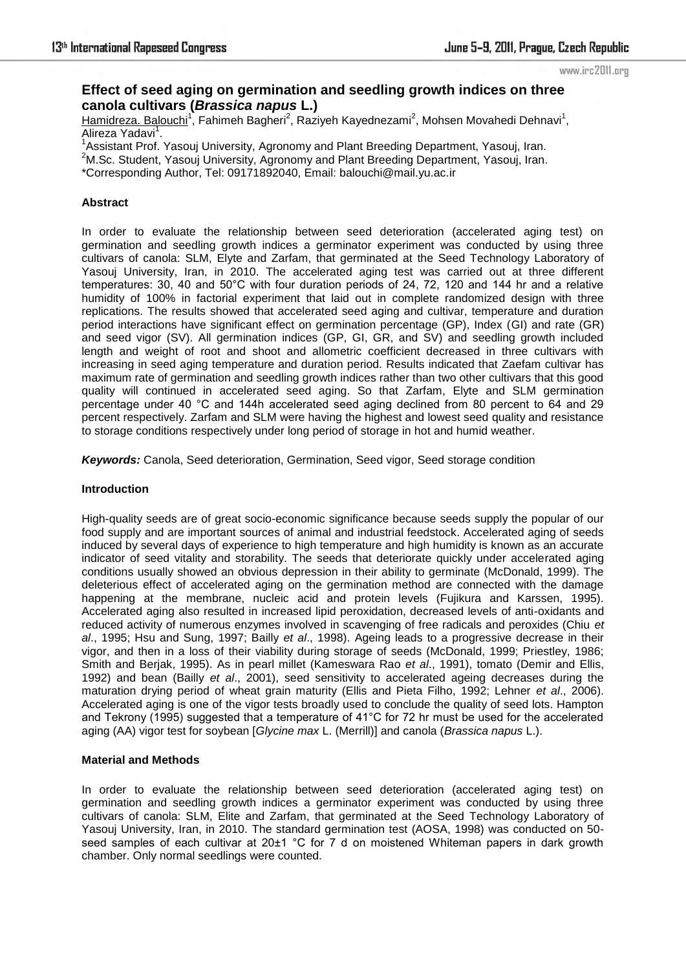#### www.irc2011.org

# **Effect of seed aging on germination and seedling growth indices on three canola cultivars (***Brassica napus* **L.)**

Hamidreza. Balouchi<sup>1</sup>, Fahimeh Bagheri<sup>2</sup>, Raziyeh Kayednezami<sup>2</sup>, Mohsen Movahedi Dehnavi<sup>1</sup>, Alireza Yadavi<sup>1</sup>.

<sup>1</sup> Assistant Prof. Yasouj University, Agronomy and Plant Breeding Department, Yasouj, Iran.

<sup>2</sup>M.Sc. Student, Yasouj University, Agronomy and Plant Breeding Department, Yasouj, Iran.

\*Corresponding Author, Tel: 09171892040, Email: balouchi@mail.yu.ac.ir

# **Abstract**

In order to evaluate the relationship between seed deterioration (accelerated aging test) on germination and seedling growth indices a germinator experiment was conducted by using three cultivars of canola: SLM, Elyte and Zarfam, that germinated at the Seed Technology Laboratory of Yasouj University, Iran, in 2010. The accelerated aging test was carried out at three different temperatures: 30, 40 and 50°C with four duration periods of 24, 72, 120 and 144 hr and a relative humidity of 100% in factorial experiment that laid out in complete randomized design with three replications. The results showed that accelerated seed aging and cultivar, temperature and duration period interactions have significant effect on germination percentage (GP), Index (GI) and rate (GR) and seed vigor (SV). All germination indices (GP, GI, GR, and SV) and seedling growth included length and weight of root and shoot and allometric coefficient decreased in three cultivars with increasing in seed aging temperature and duration period. Results indicated that Zaefam cultivar has maximum rate of germination and seedling growth indices rather than two other cultivars that this good quality will continued in accelerated seed aging. So that Zarfam, Elyte and SLM germination percentage under 40 °C and 144h accelerated seed aging declined from 80 percent to 64 and 29 percent respectively. Zarfam and SLM were having the highest and lowest seed quality and resistance to storage conditions respectively under long period of storage in hot and humid weather.

*Keywords:* Canola, Seed deterioration, Germination, Seed vigor, Seed storage condition

# **Introduction**

High-quality seeds are of great socio-economic significance because seeds supply the popular of our food supply and are important sources of animal and industrial feedstock. Accelerated aging of seeds induced by several days of experience to high temperature and high humidity is known as an accurate indicator of seed vitality and storability. The seeds that deteriorate quickly under accelerated aging conditions usually showed an obvious depression in their ability to germinate (McDonald, 1999). The deleterious effect of accelerated aging on the germination method are connected with the damage happening at the membrane, nucleic acid and protein levels (Fujikura and Karssen, 1995). Accelerated aging also resulted in increased lipid peroxidation, decreased levels of anti-oxidants and reduced activity of numerous enzymes involved in scavenging of free radicals and peroxides (Chiu *et al*., 1995; Hsu and Sung, 1997; Bailly *et al*., 1998). Ageing leads to a progressive decrease in their vigor, and then in a loss of their viability during storage of seeds (McDonald, 1999; Priestley, 1986; Smith and Berjak, 1995). As in pearl millet (Kameswara Rao *et al*., 1991), tomato (Demir and Ellis, 1992) and bean (Bailly *et al*., 2001), seed sensitivity to accelerated ageing decreases during the maturation drying period of wheat grain maturity (Ellis and Pieta Filho, 1992; Lehner *et al*., 2006). Accelerated aging is one of the vigor tests broadly used to conclude the quality of seed lots. Hampton and Tekrony (1995) suggested that a temperature of 41°C for 72 hr must be used for the accelerated aging (AA) vigor test for soybean [*Glycine max* L. (Merrill)] and canola (*Brassica napus* L.).

### **Material and Methods**

In order to evaluate the relationship between seed deterioration (accelerated aging test) on germination and seedling growth indices a germinator experiment was conducted by using three cultivars of canola: SLM, Elite and Zarfam, that germinated at the Seed Technology Laboratory of Yasouj University, Iran, in 2010. The standard germination test (AOSA, 1998) was conducted on 50 seed samples of each cultivar at 20±1 °C for 7 d on moistened Whiteman papers in dark growth chamber. Only normal seedlings were counted.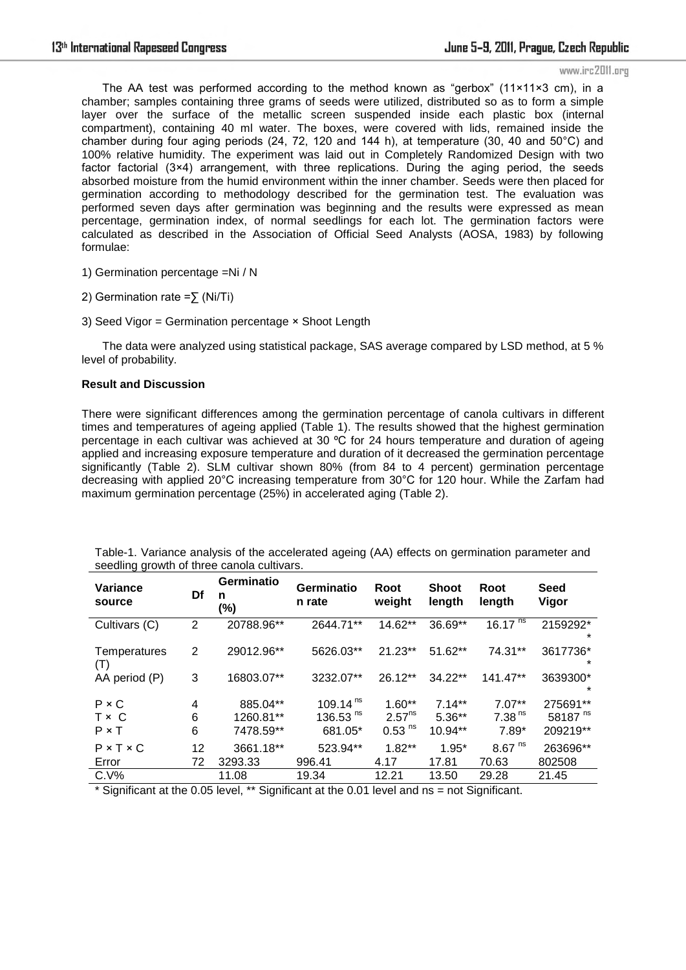www.irc2011.org

The AA test was performed according to the method known as "gerbox" ( $11 \times 11 \times 3$  cm), in a chamber; samples containing three grams of seeds were utilized, distributed so as to form a simple layer over the surface of the metallic screen suspended inside each plastic box (internal compartment), containing 40 ml water. The boxes, were covered with lids, remained inside the chamber during four aging periods (24, 72, 120 and 144 h), at temperature (30, 40 and 50°C) and 100% relative humidity. The experiment was laid out in Completely Randomized Design with two factor factorial (3×4) arrangement, with three replications. During the aging period, the seeds absorbed moisture from the humid environment within the inner chamber. Seeds were then placed for germination according to methodology described for the germination test. The evaluation was performed seven days after germination was beginning and the results were expressed as mean percentage, germination index, of normal seedlings for each lot. The germination factors were calculated as described in the Association of Official Seed Analysts (AOSA, 1983) by following formulae:

1) Germination percentage =Ni / N

2) Germination rate = $\sum$  (Ni/Ti)

3) Seed Vigor = Germination percentage × Shoot Length

The data were analyzed using statistical package, SAS average compared by LSD method, at 5 % level of probability.

### **Result and Discussion**

There were significant differences among the germination percentage of canola cultivars in different times and temperatures of ageing applied (Table 1). The results showed that the highest germination percentage in each cultivar was achieved at 30 ºC for 24 hours temperature and duration of ageing applied and increasing exposure temperature and duration of it decreased the germination percentage significantly (Table 2). SLM cultivar shown 80% (from 84 to 4 percent) germination percentage decreasing with applied 20°C increasing temperature from 30°C for 120 hour. While the Zarfam had maximum germination percentage (25%) in accelerated aging (Table 2).

| <b>Variance</b><br>source | Df | <b>Germinatio</b><br>n<br>(%) | <b>Germinatio</b><br>n rate | Root<br>weight       | <b>Shoot</b><br>length | Root<br>length       | Seed<br>Vigor       |
|---------------------------|----|-------------------------------|-----------------------------|----------------------|------------------------|----------------------|---------------------|
| Cultivars (C)             | 2  | 20788.96**                    | 2644.71**                   | 14.62**              | 36.69**                | $16.17^{ns}$         | 2159292*<br>$\star$ |
| Temperatures<br>(T)       | 2  | 29012.96**                    | 5626.03**                   | 21.23**              | 51.62**                | 74.31**              | 3617736*<br>$\ast$  |
| AA period (P)             | 3  | 16803.07**                    | 3232.07**                   | $26.12**$            | 34.22**                | 141.47**             | 3639300*<br>$\ast$  |
| $P \times C$              | 4  | 885.04**                      | 109.14 $ns$                 | $1.60**$             | $7.14**$               | $7.07**$             | 275691**            |
| T × C                     | 6  | 1260.81**                     | 136.53 $^{\text{ns}}$       | 2.57 <sup>ns</sup>   | $5.36**$               | 7.38 <sup>ns</sup>   | 58187 <sup>ns</sup> |
| $P \times T$              | 6  | 7478.59**                     | 681.05*                     | $0.53$ <sup>ns</sup> | $10.94**$              | $7.89*$              | 209219**            |
| $P \times T \times C$     | 12 | 3661.18**                     | 523.94**                    | $1.82**$             | $1.95*$                | $8.67$ <sup>ns</sup> | 263696**            |
| Error                     | 72 | 3293.33                       | 996.41                      | 4.17                 | 17.81                  | 70.63                | 802508              |
| $C.V\%$                   |    | 11.08                         | 19.34                       | 12.21                | 13.50                  | 29.28                | 21.45               |

Table-1. Variance analysis of the accelerated ageing (AA) effects on germination parameter and seedling growth of three canola cultivars.

\* Significant at the 0.05 level, \*\* Significant at the 0.01 level and ns = not Significant.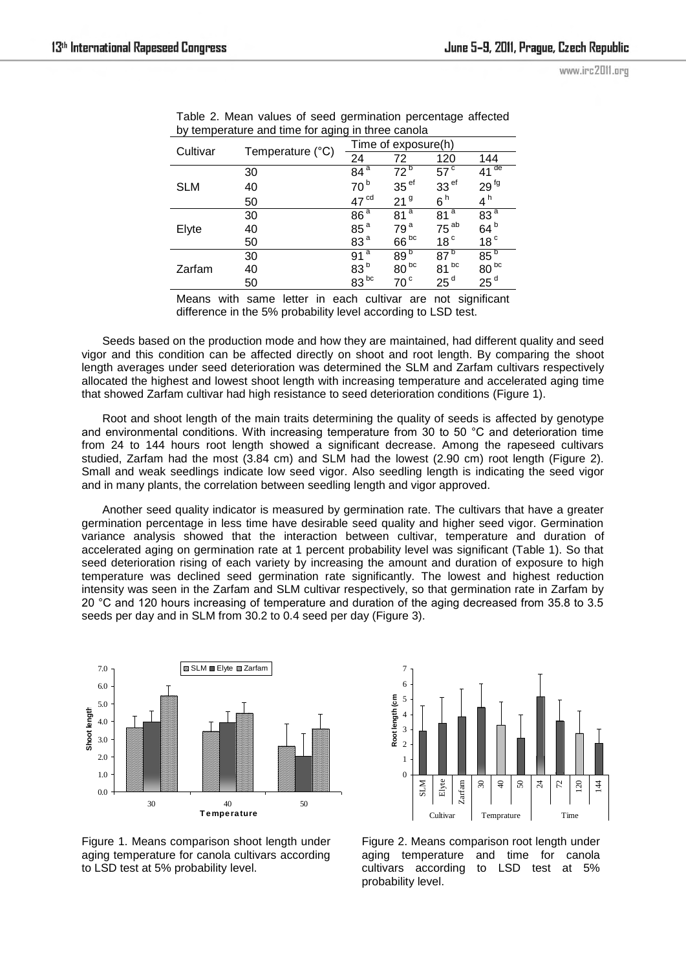| by tomporature and time for aging in time council |                  |                     |                  |                  |                  |  |  |  |
|---------------------------------------------------|------------------|---------------------|------------------|------------------|------------------|--|--|--|
|                                                   |                  | Time of exposure(h) |                  |                  |                  |  |  |  |
| Cultivar                                          | Temperature (°C) | 24                  | 72               | 120              | 144              |  |  |  |
| <b>SLM</b>                                        | 30               | 84 <sup>a</sup>     | 72 <sup>b</sup>  | $57^{\circ}$     | $41^{\circ}$     |  |  |  |
|                                                   | 40               | 70 <sup>b</sup>     | 35 <sup>ef</sup> | 33 <sup>ef</sup> | 29 <sup>fg</sup> |  |  |  |
|                                                   | 50               | 47 <sup>cd</sup>    | 21 <sup>9</sup>  | 6h               | 4 <sup>h</sup>   |  |  |  |
| Elyte                                             | 30               | 86 <sup>a</sup>     | 81 <sup>a</sup>  | 81 <sup>a</sup>  | 83 <sup>a</sup>  |  |  |  |
|                                                   | 40               | 85 <sup>a</sup>     | 79 <sup>a</sup>  | $75^{ab}$        | 64 <sup>b</sup>  |  |  |  |
|                                                   | 50               | 83 <sup>a</sup>     | $66^{bc}$        | 18 <sup>c</sup>  | 18 <sup>c</sup>  |  |  |  |
| Zarfam                                            | 30               | $91^{\overline{a}}$ | 89 <sup>b</sup>  | $87^{\circ}$     | $85^{b}$         |  |  |  |
|                                                   | 40               | $83^{b}_{ac}$       | $80^{bc}$        | $81^{bc}$        | $80^{bc}$        |  |  |  |
|                                                   | 50               |                     | 70 <sup>c</sup>  | 25 <sup>d</sup>  | 25 <sup>d</sup>  |  |  |  |

Table 2. Mean values of seed germination percentage affected by temperature and time for aging in three canola

Means with same letter in each cultivar are not significant difference in the 5% probability level according to LSD test.

Seeds based on the production mode and how they are maintained, had different quality and seed vigor and this condition can be affected directly on shoot and root length. By comparing the shoot length averages under seed deterioration was determined the SLM and Zarfam cultivars respectively allocated the highest and lowest shoot length with increasing temperature and accelerated aging time that showed Zarfam cultivar had high resistance to seed deterioration conditions (Figure 1).

Root and shoot length of the main traits determining the quality of seeds is affected by genotype and environmental conditions. With increasing temperature from 30 to 50 °C and deterioration time from 24 to 144 hours root length showed a significant decrease. Among the rapeseed cultivars studied, Zarfam had the most (3.84 cm) and SLM had the lowest (2.90 cm) root length (Figure 2). Small and weak seedlings indicate low seed vigor. Also seedling length is indicating the seed vigor and in many plants, the correlation between seedling length and vigor approved.

Another seed quality indicator is measured by germination rate. The cultivars that have a greater germination percentage in less time have desirable seed quality and higher seed vigor. Germination variance analysis showed that the interaction between cultivar, temperature and duration of accelerated aging on germination rate at 1 percent probability level was significant (Table 1). So that seed deterioration rising of each variety by increasing the amount and duration of exposure to high temperature was declined seed germination rate significantly. The lowest and highest reduction intensity was seen in the Zarfam and SLM cultivar respectively, so that germination rate in Zarfam by 20 °C and 120 hours increasing of temperature and duration of the aging decreased from 35.8 to 3.5 seeds per day and in SLM from 30.2 to 0.4 seed per day (Figure 3).





Figure 1. Means comparison shoot length under aging temperature for canola cultivars according to LSD test at 5% probability level.